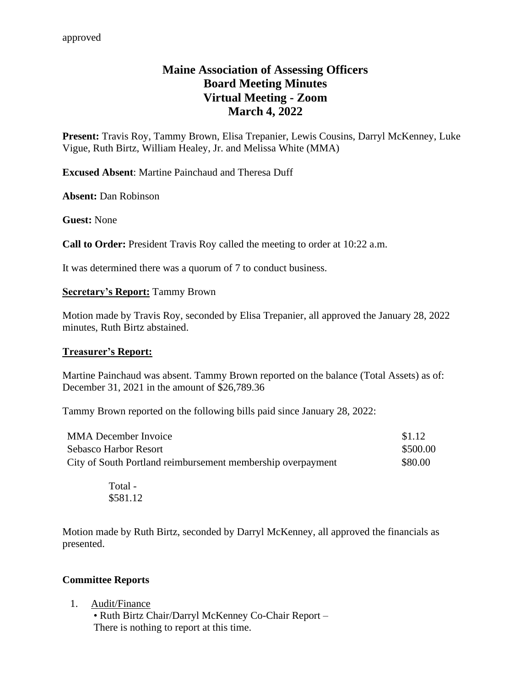# **Maine Association of Assessing Officers Board Meeting Minutes Virtual Meeting - Zoom March 4, 2022**

**Present:** Travis Roy, Tammy Brown, Elisa Trepanier, Lewis Cousins, Darryl McKenney, Luke Vigue, Ruth Birtz, William Healey, Jr. and Melissa White (MMA)

**Excused Absent**: Martine Painchaud and Theresa Duff

**Absent:** Dan Robinson

**Guest:** None

**Call to Order:** President Travis Roy called the meeting to order at 10:22 a.m.

It was determined there was a quorum of 7 to conduct business.

### **Secretary's Report:** Tammy Brown

Motion made by Travis Roy, seconded by Elisa Trepanier, all approved the January 28, 2022 minutes, Ruth Birtz abstained.

### **Treasurer's Report:**

Martine Painchaud was absent. Tammy Brown reported on the balance (Total Assets) as of: December 31, 2021 in the amount of \$26,789.36

Tammy Brown reported on the following bills paid since January 28, 2022:

| <b>MMA December Invoice</b>                                 | \$1.12   |
|-------------------------------------------------------------|----------|
| Sebasco Harbor Resort                                       | \$500.00 |
| City of South Portland reimbursement membership overpayment | \$80.00  |

Total - \$581.12

Motion made by Ruth Birtz, seconded by Darryl McKenney, all approved the financials as presented.

### **Committee Reports**

1. Audit/Finance

• Ruth Birtz Chair/Darryl McKenney Co-Chair Report – There is nothing to report at this time.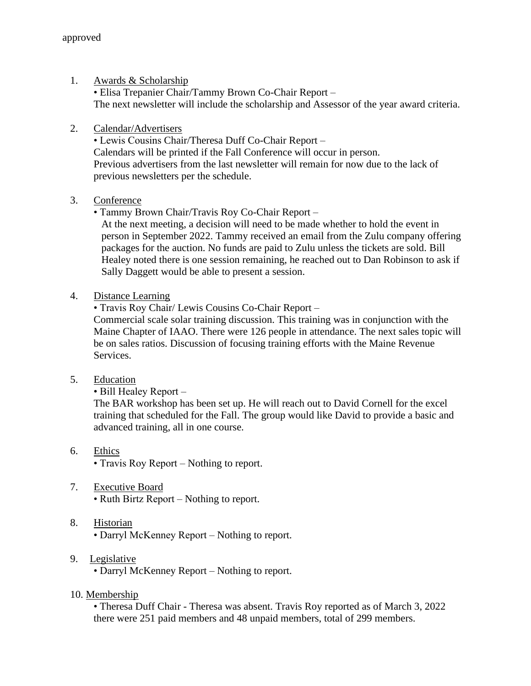1. Awards & Scholarship

• Elisa Trepanier Chair/Tammy Brown Co-Chair Report – The next newsletter will include the scholarship and Assessor of the year award criteria.

2. Calendar/Advertisers

• Lewis Cousins Chair/Theresa Duff Co-Chair Report – Calendars will be printed if the Fall Conference will occur in person. Previous advertisers from the last newsletter will remain for now due to the lack of previous newsletters per the schedule.

## 3. Conference

• Tammy Brown Chair/Travis Roy Co-Chair Report –

At the next meeting, a decision will need to be made whether to hold the event in person in September 2022. Tammy received an email from the Zulu company offering packages for the auction. No funds are paid to Zulu unless the tickets are sold. Bill Healey noted there is one session remaining, he reached out to Dan Robinson to ask if Sally Daggett would be able to present a session.

4. Distance Learning

• Travis Roy Chair/ Lewis Cousins Co-Chair Report –

Commercial scale solar training discussion. This training was in conjunction with the Maine Chapter of IAAO. There were 126 people in attendance. The next sales topic will be on sales ratios. Discussion of focusing training efforts with the Maine Revenue Services.

5. Education

• Bill Healey Report –

The BAR workshop has been set up. He will reach out to David Cornell for the excel training that scheduled for the Fall. The group would like David to provide a basic and advanced training, all in one course.

- 6. Ethics
	- Travis Roy Report Nothing to report.
- 7. Executive Board

• Ruth Birtz Report – Nothing to report.

- 8. Historian
	- Darryl McKenney Report Nothing to report.
- 9. Legislative

• Darryl McKenney Report – Nothing to report.

10. Membership

• Theresa Duff Chair - Theresa was absent. Travis Roy reported as of March 3, 2022 there were 251 paid members and 48 unpaid members, total of 299 members.